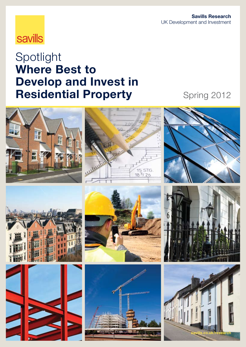

# Spotlight Where Best to Develop and Invest in **Residential Property** Spring 2012

















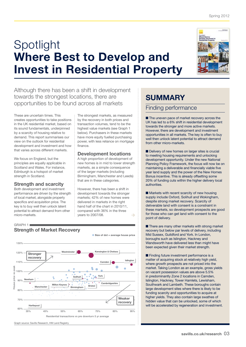# Spotlight Where Best to Develop and Invest in Residential Property

### Although there has been a shift in development towards the strongest locations, there are opportunities to be found across all markets

These are uncertain times. This creates opportunities to take positions in the UK residential market, based on its sound fundamentals, underpinned by a scarcity of housing relative to demand. This report summarises our view on the outlook for residential development and investment and how that varies across different markets.

We focus on England, but the principles are equally applicable in Scotland and Wales. For instance, Edinburgh is a hotspot of market strength in Scotland.

#### Strength and scarcity

 $GRAPH 1$ 

Both development and investment performance are driven by the strength of local market, alongside property specifics and acquisition price. The key is to buy well then unlock latent potential to attract demand from other micro-markets.

The strongest markets, as measured by the recovery in both prices and transaction volumes, tend to be the highest value markets (see Graph 1 below). Purchasers in these markets have more equity fuelled purchasing power, with less reliance on mortgage finance.

#### Development locations

A high proportion of development of new homes is in mid to lower strength markets, as a simple consequence of the larger markets (including Birmingham, Manchester and Leeds) that are in these categories.

However, there has been a shift in development towards the stronger markets; 42% of new homes were delivered in markets in the right hand half of the chart in 2010/11, compared with 36% in the three years to 2007/08.



### SUMMARY

#### Finding performance

■ The uneven pace of market recovery across the UK has led to a 6% shift in residential development towards the stronger and more active markets. However, there are development and investment opportunities in all markets. The key is often to buy well then unlock latent potential to attract demand from other micro-markets.

■ Delivery of new homes on larger sites is crucial to meeting housing requirements and unlocking development opportunity. Under the new National Planning Policy Framework, the focus will now be on maintaining a deliverable and financially viable five year land supply and the power of the New Homes Bonus incentive. This is already offsetting some 20% of funding cuts within the higher delivery local authorities.

■ Markets with recent scarcity of new housing supply include Oxford, Solihull and Wokingham, despite strong market recovery. Scarcity of deliverable land with consent is a constraint in these markets, so development prospects are good for those who can get land with consent to the point of delivery.

■ There are many other markets with strong market recovery but below par levels of delivery, including Mid Sussex, Guildford and York. In London, boroughs such as Islington, Hackney and Wandsworth have delivered less than might have been expected given their market strength.

■ Finding future investment performance is a matter of acquiring stock at relatively high yield, where growth prospects are not priced into the market. Taking London as an example, gross yields on vacant possession values are above 5.5% in predominantly Zone 2 locations in Camden, Islington, Hackney, Tower Hamlets, Lewisham, Southwark and Lambeth. These boroughs contain large development sites where there is likely to be funding scarcity and opportunities to acquire at higher yields. They also contain large swathes of hidden value that can be unlocked, some of which will be accelerated by regeneration and investment.

### Strength of Market Recovery

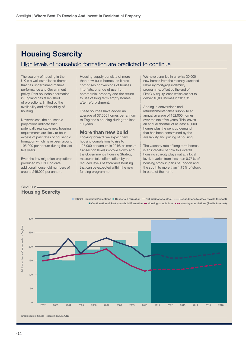## Housing Scarcity

#### High levels of household formation are predicted to continue

The scarcity of housing in the UK is a well established theme that has underpinned market performance and Government policy. Past household formation in England has fallen short of projections, limited by the availability and affordability of housing.

Nevertheless, the household projections indicate that potentially realisable new housing requirements are likely to be in excess of past rates of household formation which have been around 195,000 per annum during the last five years.

Even the low migration projections produced by ONS indicate additional household numbers of around 245,000 per annum.

Housing supply consists of more than new build homes, as it also comprises conversions of houses into flats, change of use from commercial property and the return to use of long term empty homes, after refurbishment.

These sources have added an average of 37,000 homes per annum to England's housing during the last 10 years.

#### More than new build

Looking forward, we expect new housing completions to rise to 125,000 per annum in 2016, as market transaction levels improve slowly and the Government's Housing Strategy measures take effect, offset by the reduced levels of affordable housing that can be expected within the new funding programme.

We have pencilled in an extra 20,000 new homes from the recently launched NewBuy mortgage indemnity programme, offset by the end of FirstBuy equity loans which are set to deliver 10,000 homes in 2011/12.

Adding in conversions and refurbishments takes supply to an annual average of 152,000 homes over the next five years. This leaves an annual shortfall of at least 43,000 homes plus the pent up demand that has been constrained by the availability and pricing of housing.

The vacancy rate of long term homes is an indicator of how this overall housing scarcity plays out at a local level. It varies from less than 0.75% of housing stock in parts of London and the south to more than 1.75% of stock in parts of the north.

#### $GRAPH2 =$ Housing Scarcity

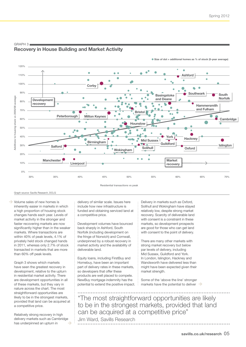● Size of dot = additional homes as % of stock (5-year average)



#### Recovery in House Building and Market Activity

Graph source: Savills Research, DCLG

graph 3

Volume sales of new homes is inherently easier in markets in which a high proportion of housing stock changes hands each year. Levels of market activity in the stronger and faster recovering markets are now significantly higher than in the weaker markets. Where transactions are within 40% of peak levels, 4.1% of privately held stock changed hands in 2011, whereas only 2.7% of stock transacted in markets that are more than 60% off peak levels.

Graph 3 shows which markets have seen the greatest recovery in development, relative to the upturn in residential market activity. There are development opportunities in all of these markets, but they vary in nature across the chart. The most straightforward opportunities are likely to be in the strongest markets, provided that land can be acquired at a competitive price.

Relatively strong recovery in high delivery markets such as Cambridge has underpinned an upturn in

delivery of similar scale. Issues here include how new infrastructure is funded and obtaining serviced land at a competitive price.

Development volumes have bounced back sharply in Ashford, South Norfolk (including development on the fringe of Norwich) and Cornwall, underpinned by a robust recovery in market activity and the availability of deliverable land.

Equity loans, including FirstBuy and Homebuy, have been an important part of delivery rates in these markets, so developers that offer these products are well placed to compete. NewBuy mortgage indemnity has the potential to extend the positive impact. Delivery in markets such as Oxford, Solihull and Wokingham have stayed relatively low, despite strong market recovery. Scarcity of deliverable land with consent is a constraint in these markets, so development prospects are good for those who can get land with consent to the point of delivery.

There are many other markets with strong market recovery but below par levels of delivery, including Mid Sussex, Guildford and York. In London, Islington, Hackney and Wandsworth have delivered less than might have been expected given their market strength.

Some of the 'above the line' stronger markets have the potential to deliver  $\rightarrow$ 

"The most straightforward opportunities are likely to be in the strongest markets, provided that land can be acquired at a competitive price"

Jim Ward, Savills Research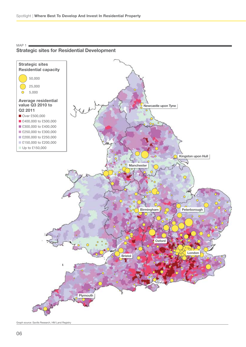

#### Strategic sites for Residential Development

 $MAP 1$ 

Graph source: Savills Research, HM Land Registry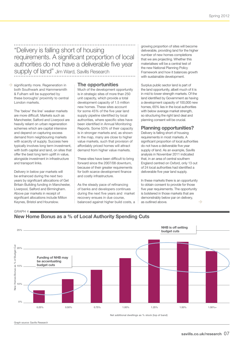"Delivery is falling short of housing requirements. A significant proportion of local authorities do not have a deliverable five year supply of land" Jim Ward, Savills Research

significantly more. Regeneration in both Southwark and Hammersmith & Fulham will be supported by these boroughs' proximity to central London markets.

The 'below' the line' weaker markets are more difficult. Markets such as Manchester, Salford and Liverpool are heavily reliant on urban regeneration schemes which are capital intensive and depend on capturing excess demand from neighbouring markets with scarcity of supply. Success here typically involves long term investment, with both capital and land, on sites that offer the best long term uplift in value, alongside investment in infrastructure and transport links.

Delivery in below par markets will be enhanced during the next two years by significant allocations of Get Britain Building funding in Manchester, Liverpool, Salford and Birmingham. Above par markets in receipt of significant allocations include Milton Keynes, Bristol and Hounslow.

 $GRAPH 4$ 

#### The opportunities

Much of the development opportunity is in strategic sites of more than 250 unit capacity, which provide a total development capacity of 1.5 million new homes. These sites account for some 45% of the five year land supply pipeline identified by local authorities, where specific sites have been identified in Annual Monitoring Reports. Some 53% of their capacity is in stronger markets and, as shown in the map, many are close to higher value markets, such that provision of affordably priced homes will attract demand from higher value markets.

These sites have been difficult to bring forward since the 2007/08 downturn, because of their greater requirements for both scarce development finance and costly infrastructure.

As the steady pace of refinancing of banks and developers continues during the next five years and market recovery ensues in due course, balanced against higher build costs, a growing proportion of sites will become deliverable, providing land for the higher number of new homes completions that we are projecting. Whether this materialises will be a central test of the new National Planning Policy Framework and how it balances growth with sustainable development.

Surplus public sector land is part of the land opportunity, albeit much of it is in mid to lower strength markets. Of the land identified by Government as having a development capacity of 100,000 new homes, 65% lies in the local authorities with below average market strength. so structuring the right land deal and planning consent will be crucial.

#### Planning opportunities?

Delivery is falling short of housing requirements in most markets. A significant proportion of local authorities do not have a deliverable five year supply of land. As an example, Savills analysis in November 2011 indicated that, in an area of central southern England centred on Oxford, only 13 out of 24 local authorities had identified a deliverable five year land supply.

In these markets there is an opportunity to obtain consent to provide for those five year requirements. The opportunity is bolstered in those markets that are demonstrably below par on delivery, as outlined above.



Graph source: Savills Research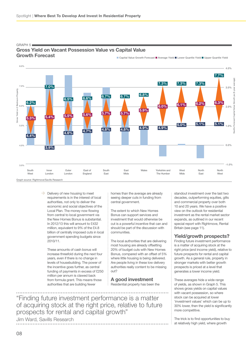

#### Gross Yield on Vacant Possession Value vs Capital Value Growth Forecast

■ Capital Value Growth Forecast ■ Average Yield ■ Lower Quartile Yield ■ Upper Quartile Yield

 $GRAPH 5$ 

Delivery of new housing to meet requirements is in the interest of local authorities, not only to deliver the economic and social objectives of the Local Plan. The money now flowing from central to local government via the New Homes Bonus is substantial. In 2012/13 this will amount to £432 million, equivalent to 9% of the £4.8 billion of centrally imposed cuts in local government spending budgets since 2010/11.

These amounts of cash bonus will increase threefold during the next four years, even if there is no change in levels of housebuilding. The power of the incentive goes further, as central funding of payments in excess of £250 million per annum is clawed back from formula grant. This means those authorities that are building fewer

homes than the average are already seeing deeper cuts in funding from central government.

The extent to which New Homes Bonus can support services and investment that would otherwise be cut is a powerful incentive that can and should be part of the discussion with communities.

The local authorities that are delivering most housing are already offsetting 20% of budget cuts with New Homes Bonus, compared with an offset of 5% where little housing is being delivered. Are people living in these low delivery authorities really content to be missing out?

A good investment Residential property has been the

"Finding future investment performance is a matter of acquiring stock at the right price, relative to future prospects for rental and capital growth"

Jim Ward, Savills Research

standout investment over the last two decades, outperforming equities, gilts and commercial property over both 10 and 20 years. We have a positive view on the outlook for residential investment as the rental market sector expands, as outlined in our recent special report with Rightmove, Rental Britain (see page 11).

#### Yield/growth prospects?

Finding future investment performance is a matter of acquiring stock at the right price (and income yield), relative to future prospects for rental and capital growth. As a general rule, property in stronger markets with better growth prospects is priced at a level that generates a lower income yield.

These averages hide a wide range of yields, as shown in Graph 5. This shows gross yields on capital values with vacant possession, so where stock can be acquired at lower 'investment values' which can be up to 30% lower, then the yield is significantly more competitive.

The trick is to find opportunities to buy at relatively high yield, where growth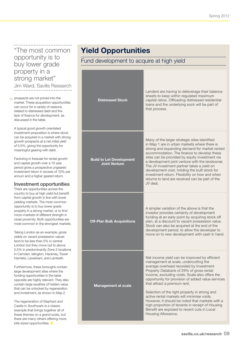"The most common opportunity is to buy lower grade property in a strong market"

Jim Ward, Savills Research

**prospects are not priced into the** market. These acquisition opportunities can occur for a variety of reasons, related to distressed debt and the lack of finance for development, as discussed in the table.

A typical good growth orientated investment proposition is where stock can be acquired in a market with strong growth prospects at a net initial yield of 5.5%, giving the opportunity for meaningful gearing with debt.

Factoring in forecast for rental growth and capital growth over a 10 year period gives a prospective ungeared investment return in excess of 10% per annum and a higher geared return.

#### Investment opportunities

There are opportunities across the country to buy at high yield but benefit from capital growth in line with lower yielding markets. The most common opportunity is to buy lower grade property in a strong market, or to find micro-markets of different strength in close proximity. Both opportunities are most common in the strongest markets.

Taking London as an example, gross yields on vacant possession values tend to be less than 5% in central London but they move out to above 5.5% in predominantly Zone 2 locations in Camden, Islington, Hackney, Tower Hamlets, Lewisham, and Lambeth.

Furthermore, these boroughs contain large development sites where the funding opportunities in the table opposite are highly relevant. They also contain large swathes of hidden value that can be unlocked by regeneration and investment, as shown in Map 2.

The regeneration of Elephant and Castle in Southwark is a classic example that brings together all of these themes on a grand scale, but there are many others offering more bite-sized opportunities.

## Yield Opportunities

Fund development to acquire at high yield

| <b>Distressed Stock</b>                                 | Lenders are having to deleverage their balance<br>sheets to keep within regulated maximum<br>capital ratios. Offloading distressed residential<br>loans and the underlying sock will be part of<br>that process.                                                                                                                                                                                                                                                                                                                                                                                |
|---------------------------------------------------------|-------------------------------------------------------------------------------------------------------------------------------------------------------------------------------------------------------------------------------------------------------------------------------------------------------------------------------------------------------------------------------------------------------------------------------------------------------------------------------------------------------------------------------------------------------------------------------------------------|
| <b>Build to Let Development</b><br><b>Joint Venture</b> | Many of the larger strategic sites identified<br>in Map 1 are in urban markets where there is<br>strong and expanding demand for market rented<br>accommodation. The finance to develop these<br>sites can be provided by equity investment via<br>a development joint venture with the landowner.<br>The JV investment partner takes a yield on<br>development cost, holding the built stock for<br>investment return. Flexibility on how and when<br>returns to land are received can be part of the<br>JV deal.                                                                              |
| <b>Off-Plan Bulk Acquisitions</b>                       | A simpler variation of the above is that the<br>investor provides certainty of development<br>funding at an early point by acquiring stock off<br>plan, at a discount to vacant possession value.<br>Stock can also be acquired at the end of the<br>development period, to allow the developer to<br>move on to new development with cash in hand.                                                                                                                                                                                                                                             |
| <b>Management at scale</b>                              | Net income yield can be improved by efficient<br>management at scale, undercutting the<br>average overhead recorded by Investment<br>Property Databank of 29% of gross rental<br>income, excluding voids. Scale also offers the<br>opportunity for provision of added value services<br>that attract a premium rent.<br>Selection of the right property in strong and<br>active rental markets will minimise voids.<br>However, it should be noted that markets with a<br>high proportion of tenants in receipt of Housing<br>Benefit are exposed to recent cuts in Local<br>Housing Allowance. |